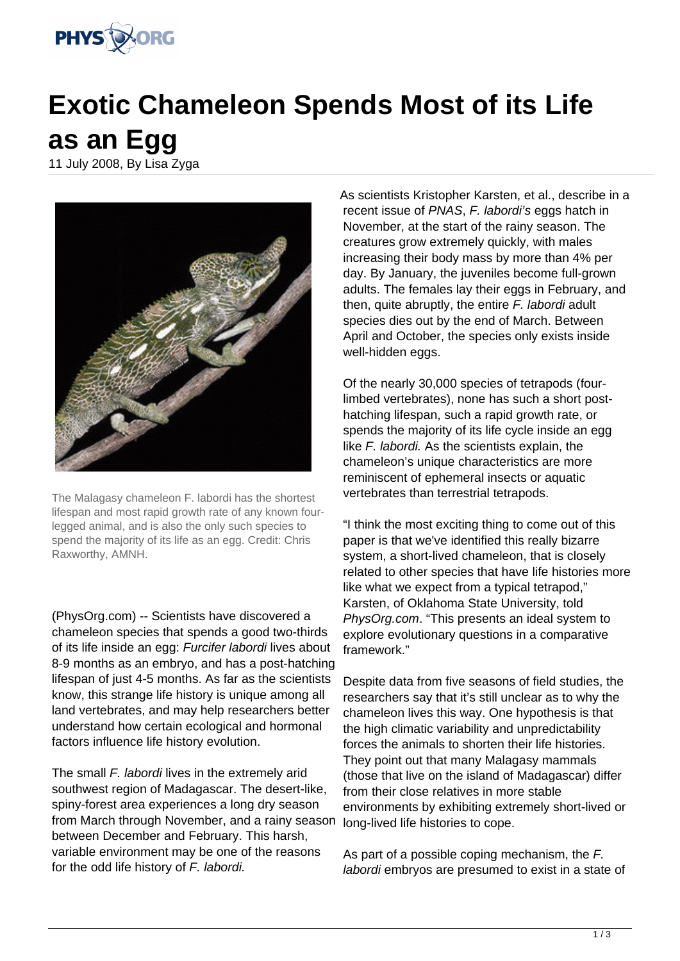

## **Exotic Chameleon Spends Most of its Life as an Egg**

11 July 2008, By Lisa Zyga



The Malagasy chameleon F. labordi has the shortest lifespan and most rapid growth rate of any known fourlegged animal, and is also the only such species to spend the majority of its life as an egg. Credit: Chris Raxworthy, AMNH.

(PhysOrg.com) -- Scientists have discovered a chameleon species that spends a good two-thirds of its life inside an egg: Furcifer labordi lives about 8-9 months as an embryo, and has a post-hatching lifespan of just 4-5 months. As far as the scientists know, this strange life history is unique among all land vertebrates, and may help researchers better understand how certain ecological and hormonal factors influence life history evolution.

The small F. labordi lives in the extremely arid southwest region of Madagascar. The desert-like, spiny-forest area experiences a long dry season from March through November, and a rainy season between December and February. This harsh, variable environment may be one of the reasons for the odd life history of F. labordi.

As scientists Kristopher Karsten, et al., describe in a recent issue of PNAS, F. labordi's eggs hatch in November, at the start of the rainy season. The creatures grow extremely quickly, with males increasing their body mass by more than 4% per day. By January, the juveniles become full-grown adults. The females lay their eggs in February, and then, quite abruptly, the entire F. labordi adult species dies out by the end of March. Between April and October, the species only exists inside well-hidden eggs.

Of the nearly 30,000 species of tetrapods (fourlimbed vertebrates), none has such a short posthatching lifespan, such a rapid growth rate, or spends the majority of its life cycle inside an egg like *F. labordi*. As the scientists explain, the chameleon's unique characteristics are more reminiscent of ephemeral insects or aquatic vertebrates than terrestrial tetrapods.

"I think the most exciting thing to come out of this paper is that we've identified this really bizarre system, a short-lived chameleon, that is closely related to other species that have life histories more like what we expect from a typical tetrapod," Karsten, of Oklahoma State University, told PhysOrg.com. "This presents an ideal system to explore evolutionary questions in a comparative framework."

Despite data from five seasons of field studies, the researchers say that it's still unclear as to why the chameleon lives this way. One hypothesis is that the high climatic variability and unpredictability forces the animals to shorten their life histories. They point out that many Malagasy mammals (those that live on the island of Madagascar) differ from their close relatives in more stable environments by exhibiting extremely short-lived or long-lived life histories to cope.

As part of a possible coping mechanism, the F. labordi embryos are presumed to exist in a state of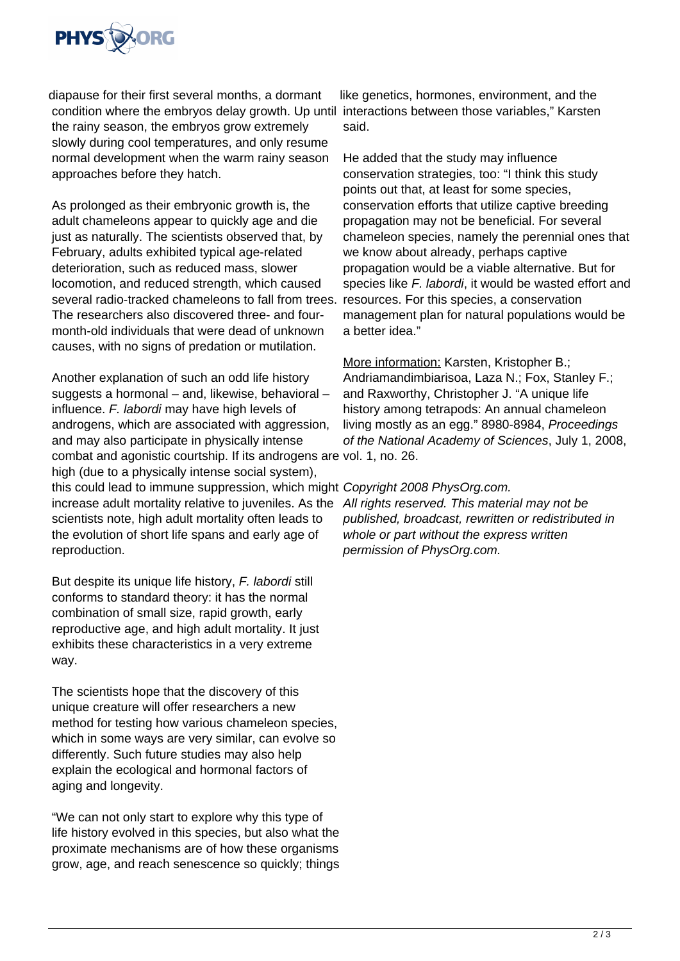

diapause for their first several months, a dormant condition where the embryos delay growth. Up until interactions between those variables," Karsten the rainy season, the embryos grow extremely slowly during cool temperatures, and only resume normal development when the warm rainy season approaches before they hatch.

As prolonged as their embryonic growth is, the adult chameleons appear to quickly age and die just as naturally. The scientists observed that, by February, adults exhibited typical age-related deterioration, such as reduced mass, slower locomotion, and reduced strength, which caused several radio-tracked chameleons to fall from trees. The researchers also discovered three- and fourmonth-old individuals that were dead of unknown causes, with no signs of predation or mutilation.

Another explanation of such an odd life history suggests a hormonal – and, likewise, behavioral – influence. F. labordi may have high levels of androgens, which are associated with aggression, and may also participate in physically intense combat and agonistic courtship. If its androgens are vol. 1, no. 26. high (due to a physically intense social system), this could lead to immune suppression, which might Copyright 2008 PhysOrg.com. increase adult mortality relative to juveniles. As the scientists note, high adult mortality often leads to the evolution of short life spans and early age of reproduction.

But despite its unique life history, F. labordi still conforms to standard theory: it has the normal combination of small size, rapid growth, early reproductive age, and high adult mortality. It just exhibits these characteristics in a very extreme way.

The scientists hope that the discovery of this unique creature will offer researchers a new method for testing how various chameleon species, which in some ways are very similar, can evolve so differently. Such future studies may also help explain the ecological and hormonal factors of aging and longevity.

"We can not only start to explore why this type of life history evolved in this species, but also what the proximate mechanisms are of how these organisms grow, age, and reach senescence so quickly; things

like genetics, hormones, environment, and the said.

He added that the study may influence conservation strategies, too: "I think this study points out that, at least for some species, conservation efforts that utilize captive breeding propagation may not be beneficial. For several chameleon species, namely the perennial ones that we know about already, perhaps captive propagation would be a viable alternative. But for species like F. labordi, it would be wasted effort and resources. For this species, a conservation management plan for natural populations would be a better idea."

More information: Karsten, Kristopher B.; Andriamandimbiarisoa, Laza N.; Fox, Stanley F.; and Raxworthy, Christopher J. "A unique life history among tetrapods: An annual chameleon living mostly as an egg." 8980-8984, Proceedings of the National Academy of Sciences, July 1, 2008,

All rights reserved. This material may not be published, broadcast, rewritten or redistributed in whole or part without the express written permission of PhysOrg.com.